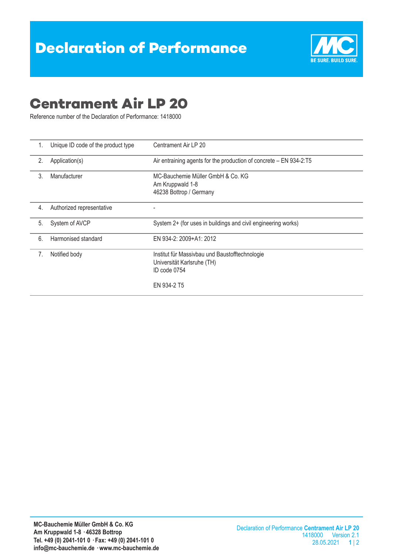

## **Centrament Air LP 20**

Reference number of the Declaration of Performance: 1418000

| 1. | Unique ID code of the product type | Centrament Air LP 20                                                                                        |  |  |
|----|------------------------------------|-------------------------------------------------------------------------------------------------------------|--|--|
| 2. | Application(s)                     | Air entraining agents for the production of concrete – EN 934-2:T5                                          |  |  |
| 3. | Manufacturer                       | MC-Bauchemie Müller GmbH & Co. KG<br>Am Kruppwald 1-8<br>46238 Bottrop / Germany                            |  |  |
| 4. | Authorized representative          |                                                                                                             |  |  |
| 5. | System of AVCP                     | System 2+ (for uses in buildings and civil engineering works)                                               |  |  |
| 6. | Harmonised standard                | EN 934-2: 2009+A1: 2012                                                                                     |  |  |
| 7. | Notified body                      | Institut für Massivbau und Baustofftechnologie<br>Universität Karlsruhe (TH)<br>ID code 0754<br>EN 934-2 T5 |  |  |